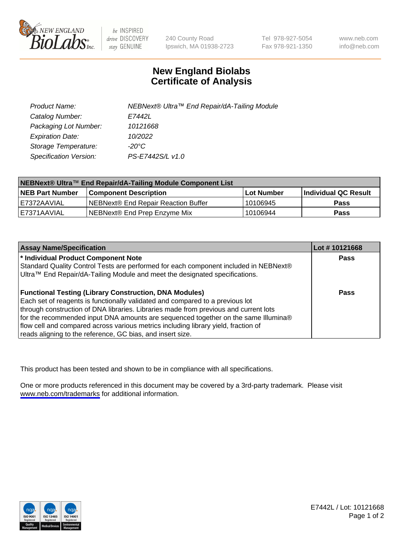

be INSPIRED drive DISCOVERY stay GENUINE

240 County Road Ipswich, MA 01938-2723 Tel 978-927-5054 Fax 978-921-1350

www.neb.com info@neb.com

## **New England Biolabs Certificate of Analysis**

| Product Name:           | NEBNext® Ultra™ End Repair/dA-Tailing Module |
|-------------------------|----------------------------------------------|
| Catalog Number:         | E7442L                                       |
| Packaging Lot Number:   | 10121668                                     |
| <b>Expiration Date:</b> | 10/2022                                      |
| Storage Temperature:    | -20°C                                        |
| Specification Version:  | PS-E7442S/L v1.0                             |

| NEBNext® Ultra™ End Repair/dA-Tailing Module Component List |                                     |             |                      |  |
|-------------------------------------------------------------|-------------------------------------|-------------|----------------------|--|
| <b>NEB Part Number</b>                                      | <b>Component Description</b>        | ⊺Lot Number | Individual QC Result |  |
| LE7372AAVIAL                                                | NEBNext® End Repair Reaction Buffer | 10106945    | <b>Pass</b>          |  |
| LE7371AAVIAL                                                | NEBNext® End Prep Enzyme Mix        | 10106944    | <b>Pass</b>          |  |

| <b>Assay Name/Specification</b>                                                      | Lot #10121668 |
|--------------------------------------------------------------------------------------|---------------|
| * Individual Product Component Note                                                  | <b>Pass</b>   |
| Standard Quality Control Tests are performed for each component included in NEBNext® |               |
| Ultra™ End Repair/dA-Tailing Module and meet the designated specifications.          |               |
| <b>Functional Testing (Library Construction, DNA Modules)</b>                        | Pass          |
| Each set of reagents is functionally validated and compared to a previous lot        |               |
| through construction of DNA libraries. Libraries made from previous and current lots |               |
| for the recommended input DNA amounts are sequenced together on the same Illumina®   |               |
| flow cell and compared across various metrics including library yield, fraction of   |               |
| reads aligning to the reference, GC bias, and insert size.                           |               |

This product has been tested and shown to be in compliance with all specifications.

One or more products referenced in this document may be covered by a 3rd-party trademark. Please visit <www.neb.com/trademarks>for additional information.